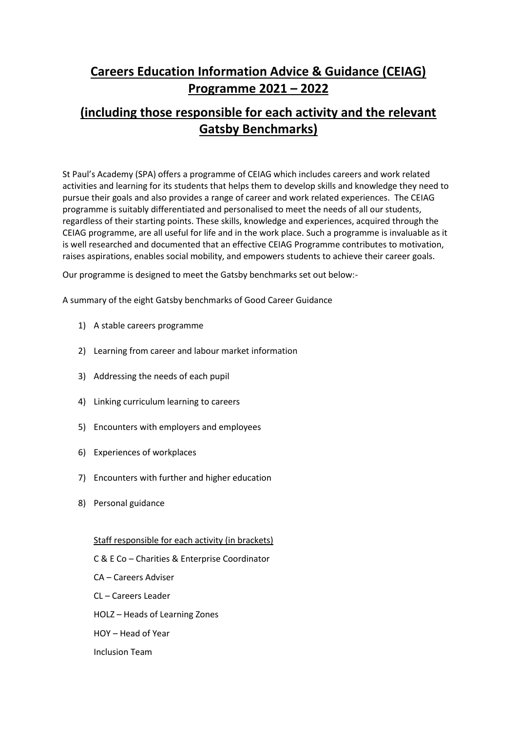# **Careers Education Information Advice & Guidance (CEIAG) Programme 2021 – 2022**

# **(including those responsible for each activity and the relevant Gatsby Benchmarks)**

St Paul's Academy (SPA) offers a programme of CEIAG which includes careers and work related activities and learning for its students that helps them to develop skills and knowledge they need to pursue their goals and also provides a range of career and work related experiences. The CEIAG programme is suitably differentiated and personalised to meet the needs of all our students, regardless of their starting points. These skills, knowledge and experiences, acquired through the CEIAG programme, are all useful for life and in the work place. Such a programme is invaluable as it is well researched and documented that an effective CEIAG Programme contributes to motivation, raises aspirations, enables social mobility, and empowers students to achieve their career goals.

Our programme is designed to meet the Gatsby benchmarks set out below:-

A summary of the eight Gatsby benchmarks of Good Career Guidance

- 1) A stable careers programme
- 2) Learning from career and labour market information
- 3) Addressing the needs of each pupil
- 4) Linking curriculum learning to careers
- 5) Encounters with employers and employees
- 6) Experiences of workplaces
- 7) Encounters with further and higher education
- 8) Personal guidance

### Staff responsible for each activity (in brackets)

C & E Co – Charities & Enterprise Coordinator

- CA Careers Adviser
- CL Careers Leader
- HOLZ Heads of Learning Zones
- HOY Head of Year

# Inclusion Team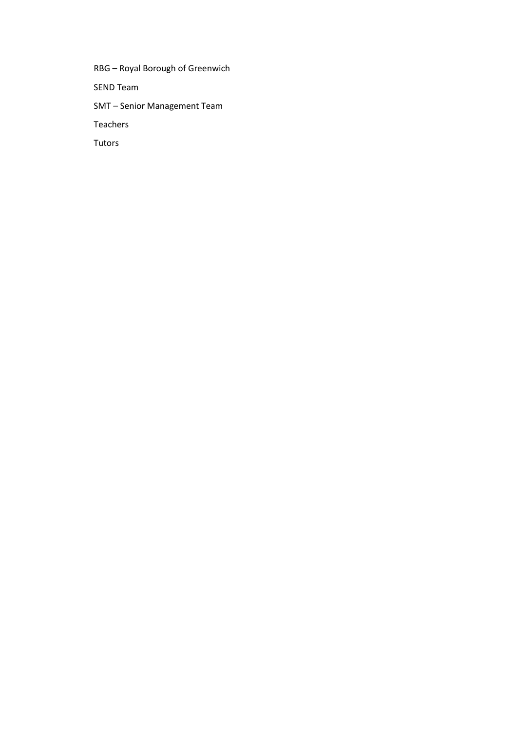RBG – Royal Borough of Greenwich SEND Team SMT – Senior Management Team Teachers Tutors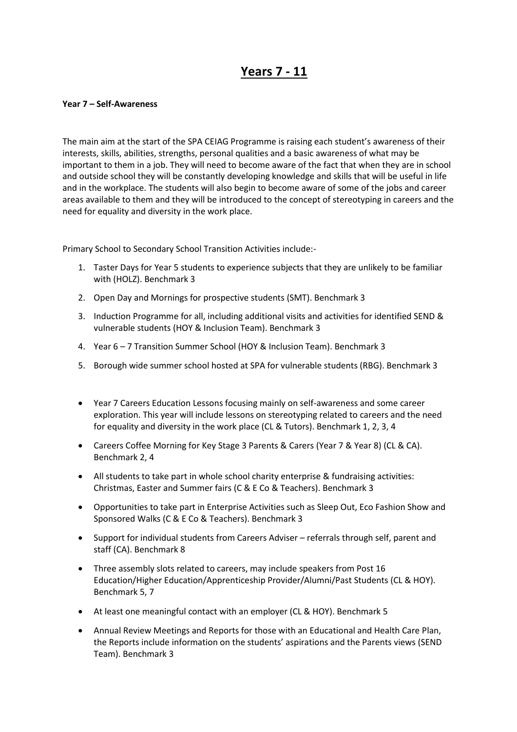# **Years 7 - 11**

#### **Year 7 – Self-Awareness**

The main aim at the start of the SPA CEIAG Programme is raising each student's awareness of their interests, skills, abilities, strengths, personal qualities and a basic awareness of what may be important to them in a job. They will need to become aware of the fact that when they are in school and outside school they will be constantly developing knowledge and skills that will be useful in life and in the workplace. The students will also begin to become aware of some of the jobs and career areas available to them and they will be introduced to the concept of stereotyping in careers and the need for equality and diversity in the work place.

Primary School to Secondary School Transition Activities include:-

- 1. Taster Days for Year 5 students to experience subjects that they are unlikely to be familiar with (HOLZ). Benchmark 3
- 2. Open Day and Mornings for prospective students (SMT). Benchmark 3
- 3. Induction Programme for all, including additional visits and activities for identified SEND & vulnerable students (HOY & Inclusion Team). Benchmark 3
- 4. Year 6 7 Transition Summer School (HOY & Inclusion Team). Benchmark 3
- 5. Borough wide summer school hosted at SPA for vulnerable students (RBG). Benchmark 3
- Year 7 Careers Education Lessons focusing mainly on self-awareness and some career exploration. This year will include lessons on stereotyping related to careers and the need for equality and diversity in the work place (CL & Tutors). Benchmark 1, 2, 3, 4
- Careers Coffee Morning for Key Stage 3 Parents & Carers (Year 7 & Year 8) (CL & CA). Benchmark 2, 4
- All students to take part in whole school charity enterprise & fundraising activities: Christmas, Easter and Summer fairs (C & E Co & Teachers). Benchmark 3
- Opportunities to take part in Enterprise Activities such as Sleep Out, Eco Fashion Show and Sponsored Walks (C & E Co & Teachers). Benchmark 3
- Support for individual students from Careers Adviser referrals through self, parent and staff (CA). Benchmark 8
- Three assembly slots related to careers, may include speakers from Post 16 Education/Higher Education/Apprenticeship Provider/Alumni/Past Students (CL & HOY). Benchmark 5, 7
- At least one meaningful contact with an employer (CL & HOY). Benchmark 5
- Annual Review Meetings and Reports for those with an Educational and Health Care Plan, the Reports include information on the students' aspirations and the Parents views (SEND Team). Benchmark 3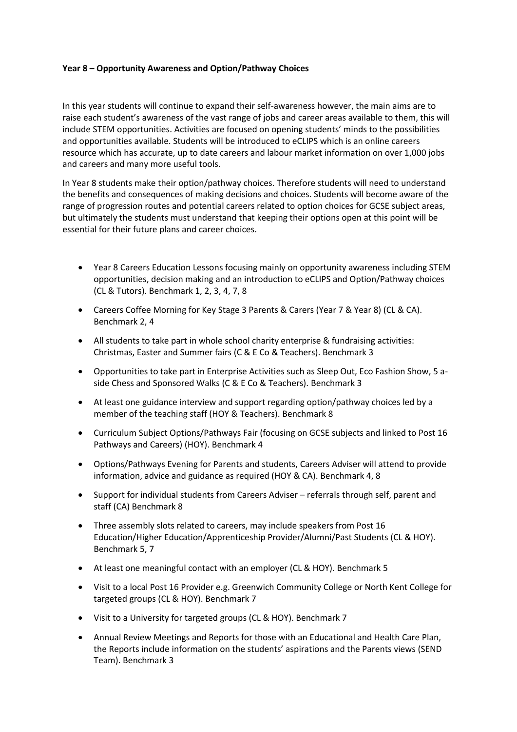# **Year 8 – Opportunity Awareness and Option/Pathway Choices**

In this year students will continue to expand their self-awareness however, the main aims are to raise each student's awareness of the vast range of jobs and career areas available to them, this will include STEM opportunities. Activities are focused on opening students' minds to the possibilities and opportunities available. Students will be introduced to eCLIPS which is an online careers resource which has accurate, up to date careers and labour market information on over 1,000 jobs and careers and many more useful tools.

In Year 8 students make their option/pathway choices. Therefore students will need to understand the benefits and consequences of making decisions and choices. Students will become aware of the range of progression routes and potential careers related to option choices for GCSE subject areas, but ultimately the students must understand that keeping their options open at this point will be essential for their future plans and career choices.

- Year 8 Careers Education Lessons focusing mainly on opportunity awareness including STEM opportunities, decision making and an introduction to eCLIPS and Option/Pathway choices (CL & Tutors). Benchmark 1, 2, 3, 4, 7, 8
- Careers Coffee Morning for Key Stage 3 Parents & Carers (Year 7 & Year 8) (CL & CA). Benchmark 2, 4
- All students to take part in whole school charity enterprise & fundraising activities: Christmas, Easter and Summer fairs (C & E Co & Teachers). Benchmark 3
- Opportunities to take part in Enterprise Activities such as Sleep Out, Eco Fashion Show, 5 aside Chess and Sponsored Walks (C & E Co & Teachers). Benchmark 3
- At least one guidance interview and support regarding option/pathway choices led by a member of the teaching staff (HOY & Teachers). Benchmark 8
- Curriculum Subject Options/Pathways Fair (focusing on GCSE subjects and linked to Post 16 Pathways and Careers) (HOY). Benchmark 4
- Options/Pathways Evening for Parents and students, Careers Adviser will attend to provide information, advice and guidance as required (HOY & CA). Benchmark 4, 8
- Support for individual students from Careers Adviser referrals through self, parent and staff (CA) Benchmark 8
- Three assembly slots related to careers, may include speakers from Post 16 Education/Higher Education/Apprenticeship Provider/Alumni/Past Students (CL & HOY). Benchmark 5, 7
- At least one meaningful contact with an employer (CL & HOY). Benchmark 5
- Visit to a local Post 16 Provider e.g. Greenwich Community College or North Kent College for targeted groups (CL & HOY). Benchmark 7
- Visit to a University for targeted groups (CL & HOY). Benchmark 7
- Annual Review Meetings and Reports for those with an Educational and Health Care Plan, the Reports include information on the students' aspirations and the Parents views (SEND Team). Benchmark 3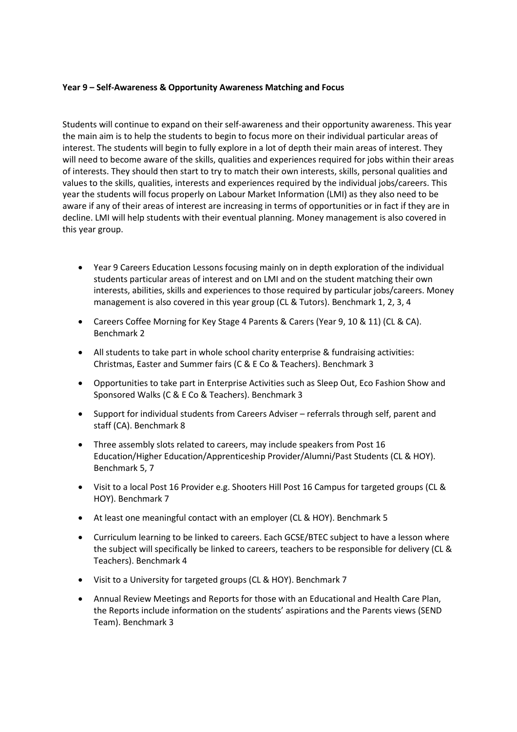### **Year 9 – Self-Awareness & Opportunity Awareness Matching and Focus**

Students will continue to expand on their self-awareness and their opportunity awareness. This year the main aim is to help the students to begin to focus more on their individual particular areas of interest. The students will begin to fully explore in a lot of depth their main areas of interest. They will need to become aware of the skills, qualities and experiences required for jobs within their areas of interests. They should then start to try to match their own interests, skills, personal qualities and values to the skills, qualities, interests and experiences required by the individual jobs/careers. This year the students will focus properly on Labour Market Information (LMI) as they also need to be aware if any of their areas of interest are increasing in terms of opportunities or in fact if they are in decline. LMI will help students with their eventual planning. Money management is also covered in this year group.

- Year 9 Careers Education Lessons focusing mainly on in depth exploration of the individual students particular areas of interest and on LMI and on the student matching their own interests, abilities, skills and experiences to those required by particular jobs/careers. Money management is also covered in this year group (CL & Tutors). Benchmark 1, 2, 3, 4
- Careers Coffee Morning for Key Stage 4 Parents & Carers (Year 9, 10 & 11) (CL & CA). Benchmark 2
- All students to take part in whole school charity enterprise & fundraising activities: Christmas, Easter and Summer fairs (C & E Co & Teachers). Benchmark 3
- Opportunities to take part in Enterprise Activities such as Sleep Out, Eco Fashion Show and Sponsored Walks (C & E Co & Teachers). Benchmark 3
- Support for individual students from Careers Adviser referrals through self, parent and staff (CA). Benchmark 8
- Three assembly slots related to careers, may include speakers from Post 16 Education/Higher Education/Apprenticeship Provider/Alumni/Past Students (CL & HOY). Benchmark 5, 7
- Visit to a local Post 16 Provider e.g. Shooters Hill Post 16 Campus for targeted groups (CL & HOY). Benchmark 7
- At least one meaningful contact with an employer (CL & HOY). Benchmark 5
- Curriculum learning to be linked to careers. Each GCSE/BTEC subject to have a lesson where the subject will specifically be linked to careers, teachers to be responsible for delivery (CL & Teachers). Benchmark 4
- Visit to a University for targeted groups (CL & HOY). Benchmark 7
- Annual Review Meetings and Reports for those with an Educational and Health Care Plan, the Reports include information on the students' aspirations and the Parents views (SEND Team). Benchmark 3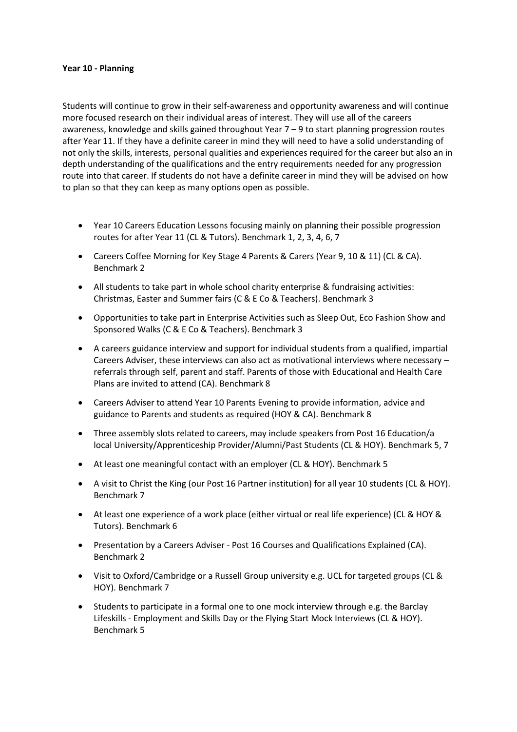#### **Year 10 - Planning**

Students will continue to grow in their self-awareness and opportunity awareness and will continue more focused research on their individual areas of interest. They will use all of the careers awareness, knowledge and skills gained throughout Year 7 – 9 to start planning progression routes after Year 11. If they have a definite career in mind they will need to have a solid understanding of not only the skills, interests, personal qualities and experiences required for the career but also an in depth understanding of the qualifications and the entry requirements needed for any progression route into that career. If students do not have a definite career in mind they will be advised on how to plan so that they can keep as many options open as possible.

- Year 10 Careers Education Lessons focusing mainly on planning their possible progression routes for after Year 11 (CL & Tutors). Benchmark 1, 2, 3, 4, 6, 7
- Careers Coffee Morning for Key Stage 4 Parents & Carers (Year 9, 10 & 11) (CL & CA). Benchmark 2
- All students to take part in whole school charity enterprise & fundraising activities: Christmas, Easter and Summer fairs (C & E Co & Teachers). Benchmark 3
- Opportunities to take part in Enterprise Activities such as Sleep Out, Eco Fashion Show and Sponsored Walks (C & E Co & Teachers). Benchmark 3
- A careers guidance interview and support for individual students from a qualified, impartial Careers Adviser, these interviews can also act as motivational interviews where necessary – referrals through self, parent and staff. Parents of those with Educational and Health Care Plans are invited to attend (CA). Benchmark 8
- Careers Adviser to attend Year 10 Parents Evening to provide information, advice and guidance to Parents and students as required (HOY & CA). Benchmark 8
- Three assembly slots related to careers, may include speakers from Post 16 Education/a local University/Apprenticeship Provider/Alumni/Past Students (CL & HOY). Benchmark 5, 7
- At least one meaningful contact with an employer (CL & HOY). Benchmark 5
- A visit to Christ the King (our Post 16 Partner institution) for all year 10 students (CL & HOY). Benchmark 7
- At least one experience of a work place (either virtual or real life experience) (CL & HOY & Tutors). Benchmark 6
- Presentation by a Careers Adviser Post 16 Courses and Qualifications Explained (CA). Benchmark 2
- Visit to Oxford/Cambridge or a Russell Group university e.g. UCL for targeted groups (CL & HOY). Benchmark 7
- Students to participate in a formal one to one mock interview through e.g. the Barclay Lifeskills - Employment and Skills Day or the Flying Start Mock Interviews (CL & HOY). Benchmark 5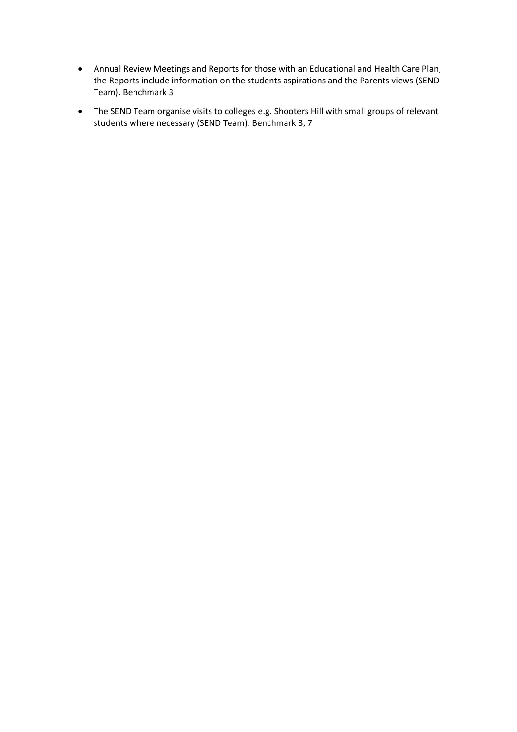- Annual Review Meetings and Reports for those with an Educational and Health Care Plan, the Reports include information on the students aspirations and the Parents views (SEND Team). Benchmark 3
- The SEND Team organise visits to colleges e.g. Shooters Hill with small groups of relevant students where necessary (SEND Team). Benchmark 3, 7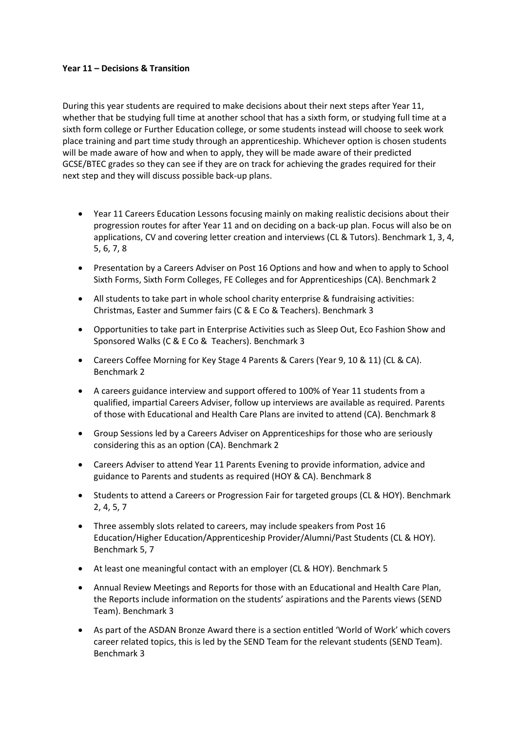### **Year 11 – Decisions & Transition**

During this year students are required to make decisions about their next steps after Year 11, whether that be studying full time at another school that has a sixth form, or studying full time at a sixth form college or Further Education college, or some students instead will choose to seek work place training and part time study through an apprenticeship. Whichever option is chosen students will be made aware of how and when to apply, they will be made aware of their predicted GCSE/BTEC grades so they can see if they are on track for achieving the grades required for their next step and they will discuss possible back-up plans.

- Year 11 Careers Education Lessons focusing mainly on making realistic decisions about their progression routes for after Year 11 and on deciding on a back-up plan. Focus will also be on applications, CV and covering letter creation and interviews (CL & Tutors). Benchmark 1, 3, 4, 5, 6, 7, 8
- Presentation by a Careers Adviser on Post 16 Options and how and when to apply to School Sixth Forms, Sixth Form Colleges, FE Colleges and for Apprenticeships (CA). Benchmark 2
- All students to take part in whole school charity enterprise & fundraising activities: Christmas, Easter and Summer fairs (C & E Co & Teachers). Benchmark 3
- Opportunities to take part in Enterprise Activities such as Sleep Out, Eco Fashion Show and Sponsored Walks (C & E Co & Teachers). Benchmark 3
- Careers Coffee Morning for Key Stage 4 Parents & Carers (Year 9, 10 & 11) (CL & CA). Benchmark 2
- A careers guidance interview and support offered to 100% of Year 11 students from a qualified, impartial Careers Adviser, follow up interviews are available as required. Parents of those with Educational and Health Care Plans are invited to attend (CA). Benchmark 8
- Group Sessions led by a Careers Adviser on Apprenticeships for those who are seriously considering this as an option (CA). Benchmark 2
- Careers Adviser to attend Year 11 Parents Evening to provide information, advice and guidance to Parents and students as required (HOY & CA). Benchmark 8
- Students to attend a Careers or Progression Fair for targeted groups (CL & HOY). Benchmark 2, 4, 5, 7
- Three assembly slots related to careers, may include speakers from Post 16 Education/Higher Education/Apprenticeship Provider/Alumni/Past Students (CL & HOY). Benchmark 5, 7
- At least one meaningful contact with an employer (CL & HOY). Benchmark 5
- Annual Review Meetings and Reports for those with an Educational and Health Care Plan, the Reports include information on the students' aspirations and the Parents views (SEND Team). Benchmark 3
- As part of the ASDAN Bronze Award there is a section entitled 'World of Work' which covers career related topics, this is led by the SEND Team for the relevant students (SEND Team). Benchmark 3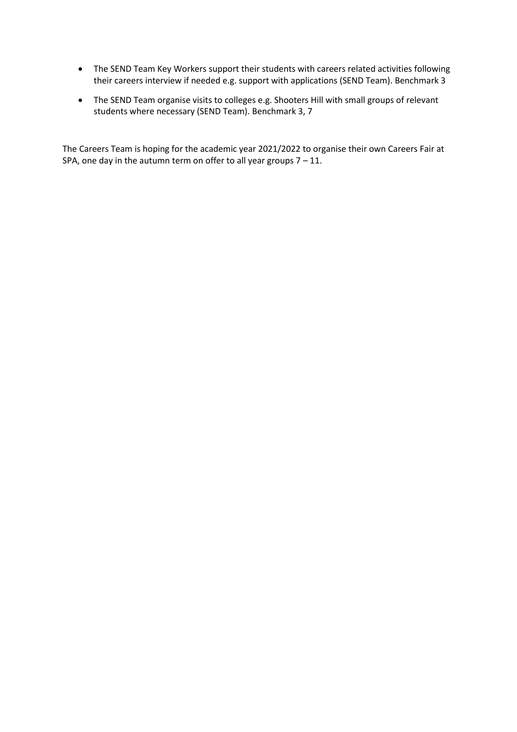- The SEND Team Key Workers support their students with careers related activities following their careers interview if needed e.g. support with applications (SEND Team). Benchmark 3
- The SEND Team organise visits to colleges e.g. Shooters Hill with small groups of relevant students where necessary (SEND Team). Benchmark 3, 7

The Careers Team is hoping for the academic year 2021/2022 to organise their own Careers Fair at SPA, one day in the autumn term on offer to all year groups  $7 - 11$ .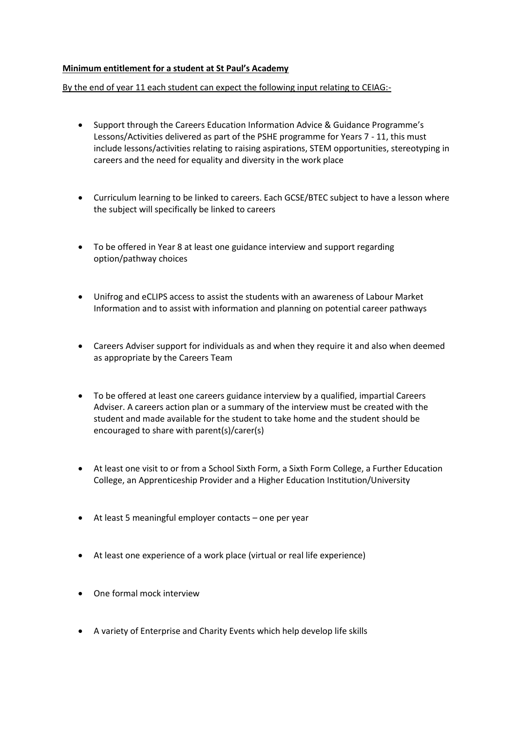# **Minimum entitlement for a student at St Paul's Academy**

By the end of year 11 each student can expect the following input relating to CEIAG:-

- Support through the Careers Education Information Advice & Guidance Programme's Lessons/Activities delivered as part of the PSHE programme for Years 7 - 11, this must include lessons/activities relating to raising aspirations, STEM opportunities, stereotyping in careers and the need for equality and diversity in the work place
- Curriculum learning to be linked to careers. Each GCSE/BTEC subject to have a lesson where the subject will specifically be linked to careers
- To be offered in Year 8 at least one guidance interview and support regarding option/pathway choices
- Unifrog and eCLIPS access to assist the students with an awareness of Labour Market Information and to assist with information and planning on potential career pathways
- Careers Adviser support for individuals as and when they require it and also when deemed as appropriate by the Careers Team
- To be offered at least one careers guidance interview by a qualified, impartial Careers Adviser. A careers action plan or a summary of the interview must be created with the student and made available for the student to take home and the student should be encouraged to share with parent(s)/carer(s)
- At least one visit to or from a School Sixth Form, a Sixth Form College, a Further Education College, an Apprenticeship Provider and a Higher Education Institution/University
- At least 5 meaningful employer contacts one per year
- At least one experience of a work place (virtual or real life experience)
- One formal mock interview
- A variety of Enterprise and Charity Events which help develop life skills